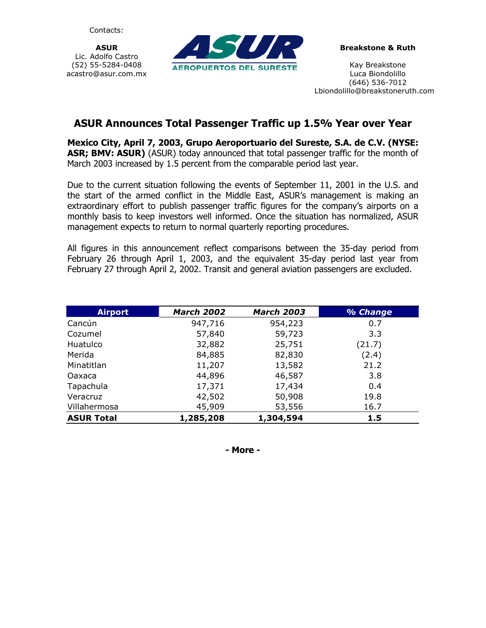Contacts:

**ASUR**  Lic. Adolfo Castro (52) 55-5284-0408 acastro@asur.com.mx



**Breakstone & Ruth** 

Kay Breakstone Luca Biondolillo (646) 536-7012 Lbiondolillo@breakstoneruth.com

## **ASUR Announces Total Passenger Traffic up 1.5% Year over Year**

**Mexico City, April 7, 2003, Grupo Aeroportuario del Sureste, S.A. de C.V. (NYSE: ASR; BMV: ASUR)** (ASUR) today announced that total passenger traffic for the month of March 2003 increased by 1.5 percent from the comparable period last year.

Due to the current situation following the events of September 11, 2001 in the U.S. and the start of the armed conflict in the Middle East, ASUR's management is making an extraordinary effort to publish passenger traffic figures for the company's airports on a monthly basis to keep investors well informed. Once the situation has normalized, ASUR management expects to return to normal quarterly reporting procedures.

All figures in this announcement reflect comparisons between the 35-day period from February 26 through April 1, 2003, and the equivalent 35-day period last year from February 27 through April 2, 2002. Transit and general aviation passengers are excluded.

| <b>Airport</b>    | <b>March 2002</b> | <b>March 2003</b> | % Change |
|-------------------|-------------------|-------------------|----------|
| Cancún            | 947,716           | 954,223           | 0.7      |
| Cozumel           | 57,840            | 59,723            | 3.3      |
| Huatulco          | 32,882            | 25,751            | (21.7)   |
| Merida            | 84,885            | 82,830            | (2.4)    |
| Minatitlan        | 11,207            | 13,582            | 21.2     |
| Oaxaca            | 44,896            | 46,587            | 3.8      |
| Tapachula         | 17,371            | 17,434            | 0.4      |
| Veracruz          | 42,502            | 50,908            | 19.8     |
| Villahermosa      | 45,909            | 53,556            | 16.7     |
| <b>ASUR Total</b> | 1,285,208         | 1,304,594         | 1.5      |

**- More -**